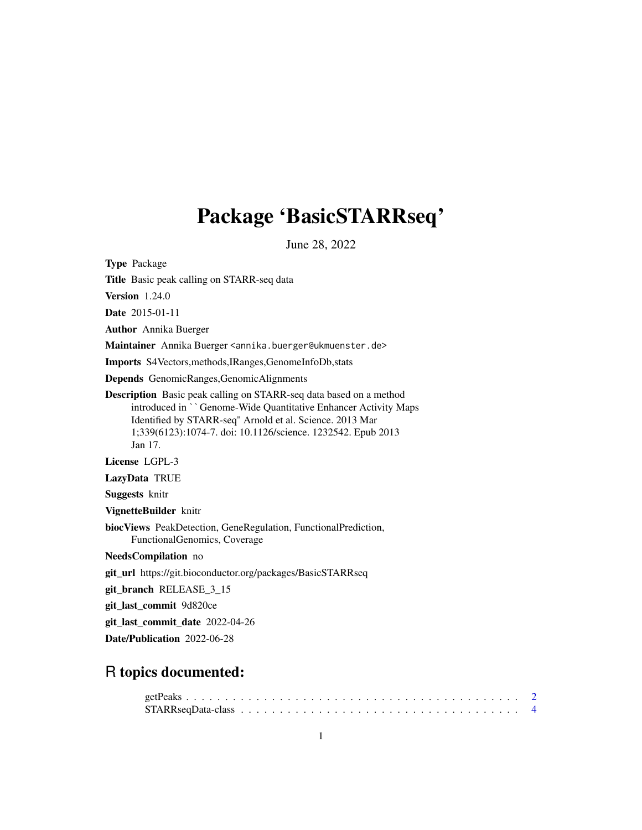## Package 'BasicSTARRseq'

June 28, 2022

<span id="page-0-0"></span>Type Package

Title Basic peak calling on STARR-seq data

Version 1.24.0

Date 2015-01-11

Author Annika Buerger

Maintainer Annika Buerger <annika.buerger@ukmuenster.de>

Imports S4Vectors,methods,IRanges,GenomeInfoDb,stats

Depends GenomicRanges,GenomicAlignments

Description Basic peak calling on STARR-seq data based on a method introduced in ``Genome-Wide Quantitative Enhancer Activity Maps Identified by STARR-seq'' Arnold et al. Science. 2013 Mar 1;339(6123):1074-7. doi: 10.1126/science. 1232542. Epub 2013 Jan 17.

License LGPL-3

LazyData TRUE

Suggests knitr

VignetteBuilder knitr

biocViews PeakDetection, GeneRegulation, FunctionalPrediction, FunctionalGenomics, Coverage

NeedsCompilation no

git\_url https://git.bioconductor.org/packages/BasicSTARRseq

git\_branch RELEASE\_3\_15

git\_last\_commit 9d820ce

git\_last\_commit\_date 2022-04-26

Date/Publication 2022-06-28

### R topics documented: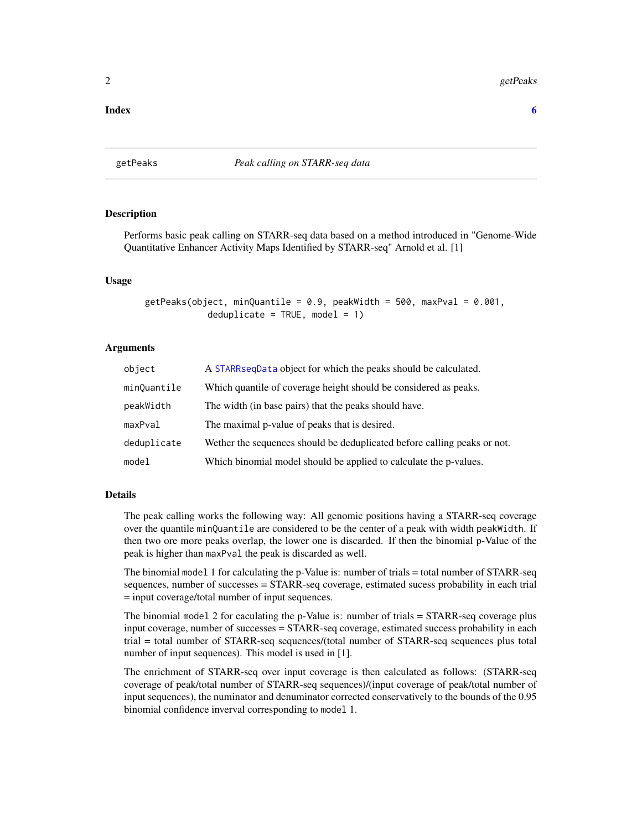#### <span id="page-1-0"></span>**Index** [6](#page-5-0) **6**

<span id="page-1-1"></span>getPeaks *Peak calling on STARR-seq data*

#### **Description**

Performs basic peak calling on STARR-seq data based on a method introduced in "Genome-Wide Quantitative Enhancer Activity Maps Identified by STARR-seq" Arnold et al. [1]

#### Usage

getPeaks(object, minQuantile =  $0.9$ , peakWidth =  $500$ , maxPval =  $0.001$ ,  $deduplicate = TRUE, model = 1)$ 

#### Arguments

| object      | A STARR sequest a object for which the peaks should be calculated.       |
|-------------|--------------------------------------------------------------------------|
| minQuantile | Which quantile of coverage height should be considered as peaks.         |
| peakWidth   | The width (in base pairs) that the peaks should have.                    |
| maxPval     | The maximal p-value of peaks that is desired.                            |
| deduplicate | Wether the sequences should be deduplicated before calling peaks or not. |
| model       | Which binomial model should be applied to calculate the p-values.        |

#### Details

The peak calling works the following way: All genomic positions having a STARR-seq coverage over the quantile minQuantile are considered to be the center of a peak with width peakWidth. If then two ore more peaks overlap, the lower one is discarded. If then the binomial p-Value of the peak is higher than maxPval the peak is discarded as well.

The binomial model 1 for calculating the p-Value is: number of trials = total number of STARR-seq sequences, number of successes = STARR-seq coverage, estimated sucess probability in each trial = input coverage/total number of input sequences.

The binomial model 2 for caculating the p-Value is: number of trials = STARR-seq coverage plus input coverage, number of successes = STARR-seq coverage, estimated success probability in each trial = total number of STARR-seq sequences/(total number of STARR-seq sequences plus total number of input sequences). This model is used in [1].

The enrichment of STARR-seq over input coverage is then calculated as follows: (STARR-seq coverage of peak/total number of STARR-seq sequences)/(input coverage of peak/total number of input sequences), the numinator and denuminator corrected conservatively to the bounds of the 0.95 binomial confidence inverval corresponding to model 1.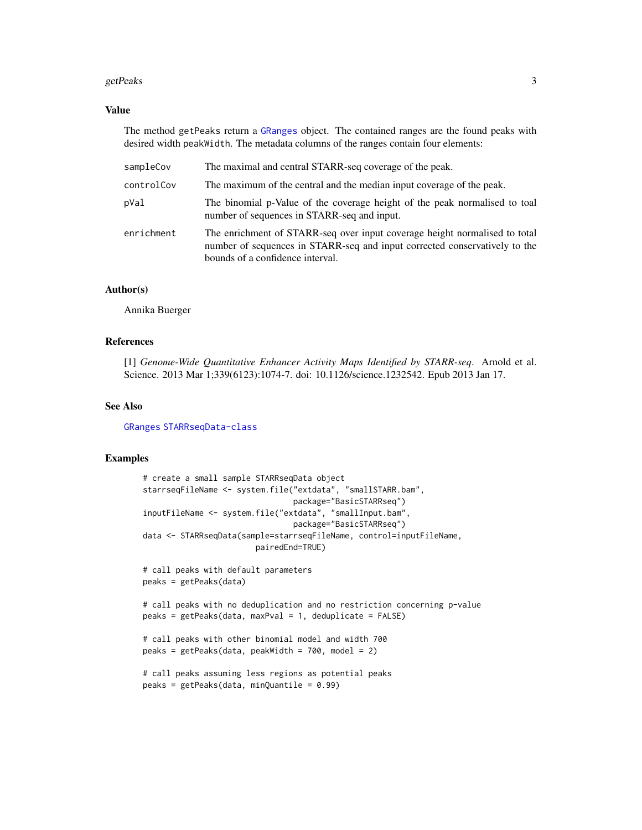#### <span id="page-2-0"></span>getPeaks 3

#### Value

The method getPeaks return a [GRanges](#page-0-0) object. The contained ranges are the found peaks with desired width peakWidth. The metadata columns of the ranges contain four elements:

| sampleCov  | The maximal and central STARR-seq coverage of the peak.                                                                                                                                      |
|------------|----------------------------------------------------------------------------------------------------------------------------------------------------------------------------------------------|
| controlCov | The maximum of the central and the median input coverage of the peak.                                                                                                                        |
| pVal       | The binomial p-Value of the coverage height of the peak normalised to toal<br>number of sequences in STARR-seq and input.                                                                    |
| enrichment | The enrichment of STARR-seq over input coverage height normalised to total<br>number of sequences in STARR-seq and input corrected conservatively to the<br>bounds of a confidence interval. |

#### Author(s)

Annika Buerger

#### References

[1] *Genome-Wide Quantitative Enhancer Activity Maps Identified by STARR-seq*. Arnold et al. Science. 2013 Mar 1;339(6123):1074-7. doi: 10.1126/science.1232542. Epub 2013 Jan 17.

#### See Also

[GRanges](#page-0-0) [STARRseqData-class](#page-3-2)

#### Examples

```
# create a small sample STARRseqData object
starrseqFileName <- system.file("extdata", "smallSTARR.bam",
                                package="BasicSTARRseq")
inputFileName <- system.file("extdata", "smallInput.bam",
                                package="BasicSTARRseq")
data <- STARRseqData(sample=starrseqFileName, control=inputFileName,
                        pairedEnd=TRUE)
# call peaks with default parameters
peaks = getPeaks(data)
# call peaks with no deduplication and no restriction concerning p-value
peaks = getPeaks(data, maxPval = 1, deduplicate = FALSE)
# call peaks with other binomial model and width 700
peaks = getPeaks(data, peakWidth = 700, model = 2)
# call peaks assuming less regions as potential peaks
peaks = getPeaks(data, minQuantile = 0.99)
```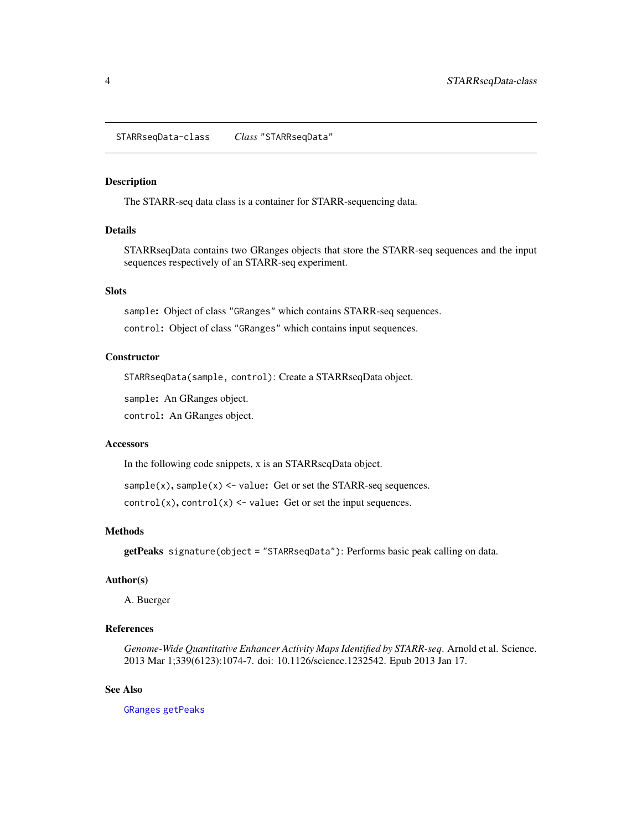<span id="page-3-2"></span><span id="page-3-0"></span>STARRseqData-class *Class* "STARRseqData"

#### <span id="page-3-1"></span>Description

The STARR-seq data class is a container for STARR-sequencing data.

#### Details

STARRseqData contains two GRanges objects that store the STARR-seq sequences and the input sequences respectively of an STARR-seq experiment.

#### **Slots**

sample: Object of class "GRanges" which contains STARR-seq sequences.

control: Object of class "GRanges" which contains input sequences.

#### **Constructor**

STARRseqData(sample, control): Create a STARRseqData object.

sample: An GRanges object.

control: An GRanges object.

#### **Accessors**

In the following code snippets, x is an STARRseqData object.

 $sample(x)$ ,  $sample(x)$  <- value: Get or set the STARR-seq sequences.

 $control(x)$ ,  $control(x) < -$  value: Get or set the input sequences.

#### Methods

getPeaks signature(object = "STARRseqData"): Performs basic peak calling on data.

#### Author(s)

A. Buerger

#### References

*Genome-Wide Quantitative Enhancer Activity Maps Identified by STARR-seq*. Arnold et al. Science. 2013 Mar 1;339(6123):1074-7. doi: 10.1126/science.1232542. Epub 2013 Jan 17.

#### See Also

[GRanges](#page-0-0) [getPeaks](#page-1-1)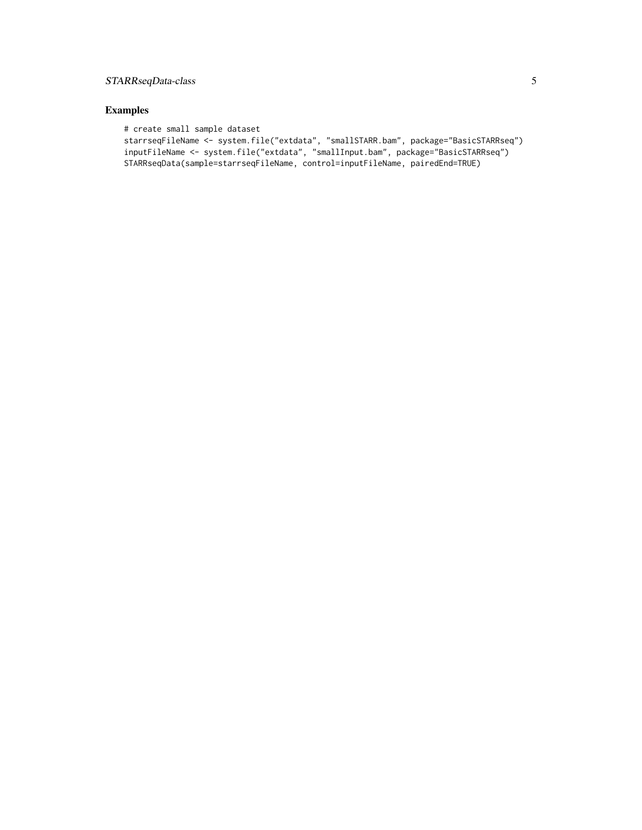#### STARRseqData-class 5

#### Examples

```
# create small sample dataset
starrseqFileName <- system.file("extdata", "smallSTARR.bam", package="BasicSTARRseq")
inputFileName <- system.file("extdata", "smallInput.bam", package="BasicSTARRseq")
STARRseqData(sample=starrseqFileName, control=inputFileName, pairedEnd=TRUE)
```